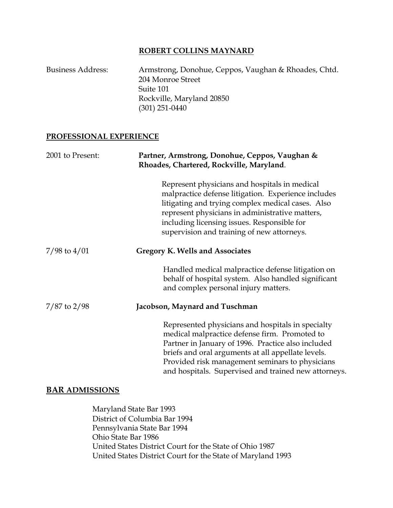### **ROBERT COLLINS MAYNARD**

| <b>Business Address:</b> | Armstrong, Donohue, Ceppos, Vaughan & Rhoades, Chtd. |
|--------------------------|------------------------------------------------------|
|                          | 204 Monroe Street                                    |
|                          | Suite 101                                            |
|                          | Rockville, Maryland 20850                            |
|                          | $(301)$ 251-0440                                     |

#### **PROFESSIONAL EXPERIENCE**

| 2001 to Present: | Partner, Armstrong, Donohue, Ceppos, Vaughan &<br>Rhoades, Chartered, Rockville, Maryland.                                                                                                                                                                                                                                |
|------------------|---------------------------------------------------------------------------------------------------------------------------------------------------------------------------------------------------------------------------------------------------------------------------------------------------------------------------|
|                  | Represent physicians and hospitals in medical<br>malpractice defense litigation. Experience includes<br>litigating and trying complex medical cases. Also<br>represent physicians in administrative matters,<br>including licensing issues. Responsible for<br>supervision and training of new attorneys.                 |
| $7/98$ to $4/01$ | <b>Gregory K. Wells and Associates</b>                                                                                                                                                                                                                                                                                    |
|                  | Handled medical malpractice defense litigation on<br>behalf of hospital system. Also handled significant<br>and complex personal injury matters.                                                                                                                                                                          |
| $7/87$ to $2/98$ | Jacobson, Maynard and Tuschman                                                                                                                                                                                                                                                                                            |
|                  | Represented physicians and hospitals in specialty<br>medical malpractice defense firm. Promoted to<br>Partner in January of 1996. Practice also included<br>briefs and oral arguments at all appellate levels.<br>Provided risk management seminars to physicians<br>and hospitals. Supervised and trained new attorneys. |

# **BAR ADMISSIONS**

Maryland State Bar 1993 District of Columbia Bar 1994 Pennsylvania State Bar 1994 Ohio State Bar 1986 United States District Court for the State of Ohio 1987 United States District Court for the State of Maryland 1993